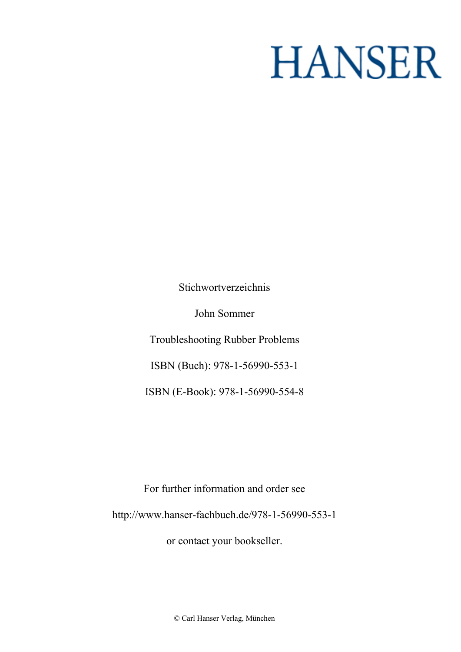# **HANSER**

**Stichwortverzeichnis**

**John Sommer**

**Troubleshooting Rubber Problems**

**ISBN (Buch): 978-1-56990-553-1**

**ISBN (E-Book): 978-1-56990-554-8**

**For further information and order see <http://www.hanser-fachbuch.de/978-1-56990-553-1>**

**or contact your bookseller.**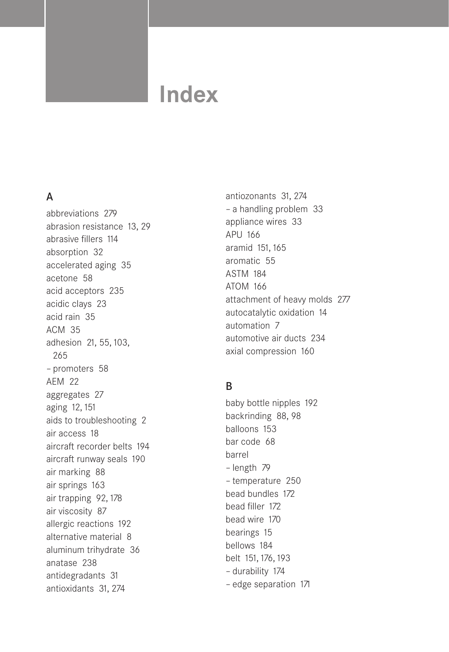# **Index**

## A

abbreviations 279 abrasion resistance 13, 29 abrasive fillers 114 absorption 32 accelerated aging 35 acetone 58 acid acceptors 235 acidic clays 23 acid rain 35 ACM 35 adhesion 21, 55, 103, 265 – promoters 58 AEM 22 aggregates 27 aging 12, 151 aids to troubleshooting 2 air access 18 aircraft recorder belts 194 aircraft runway seals 190 air marking 88 air springs 163 air trapping 92, 178 air viscosity 87 allergic reactions 192 alternative material 8 aluminum trihydrate 36 anatase 238 antidegradants 31 antioxidants 31, 274

antiozonants 31, 274 – a handling problem 33 appliance wires 33 APU 166 aramid 151, 165 aromatic 55 ASTM 184 ATOM 166 attachment of heavy molds 277 autocatalytic oxidation 14 automation 7 automotive air ducts 234 axial compression 160

#### B

baby bottle nipples 192 backrinding 88, 98 balloons 153 bar code 68 barrel – length 79 – temperature 250 bead bundles 172 bead filler 172 bead wire 170 bearings 15 bellows 184 belt 151, 176, 193 – durability 174 – edge separation 171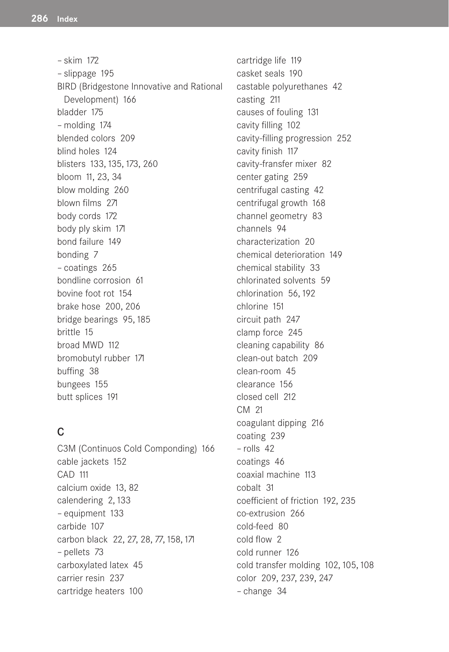– skim 172 – slippage 195 BIRD (Bridgestone Innovative and Rational Development) 166 bladder 175 – molding 174 blended colors 209 blind holes 124 blisters 133, 135, 173, 260 bloom 11, 23, 34 blow molding 260 blown films 271 body cords 172 body ply skim 171 bond failure 149 bonding 7 – coatings 265 bondline corrosion 61 bovine foot rot 154 brake hose 200, 206 bridge bearings 95, 185 brittle 15 broad MWD 112 bromobutyl rubber 171 buffing 38 bungees 155 butt splices 191

#### C

C3M (Continuos Cold Componding) 166 cable jackets 152 CAD 111 calcium oxide 13, 82 calendering 2, 133 – equipment 133 carbide 107 carbon black 22, 27, 28, 77, 158, 171 – pellets 73 carboxylated latex 45 carrier resin 237 cartridge heaters 100

cartridge life 119 casket seals 190 castable polyurethanes 42 casting 211 causes of fouling 131 cavity filling 102 cavity-filling progression 252 cavity finish 117 cavity-fransfer mixer 82 center gating 259 centrifugal casting 42 centrifugal growth 168 channel geometry 83 channels 94 characterization 20 chemical deterioration 149 chemical stability 33 chlorinated solvents 59 chlorination 56, 192 chlorine 151 circuit path 247 clamp force 245 cleaning capability 86 clean-out batch 209 clean-room 45 clearance 156 closed cell 212 CM 21 coagulant dipping 216 coating 239 – rolls 42 coatings 46 coaxial machine 113 cobalt 31 coefficient of friction 192, 235 co-extrusion 266 cold-feed 80 cold flow 2 cold runner 126 cold transfer molding 102, 105, 108 color 209, 237, 239, 247 – change 34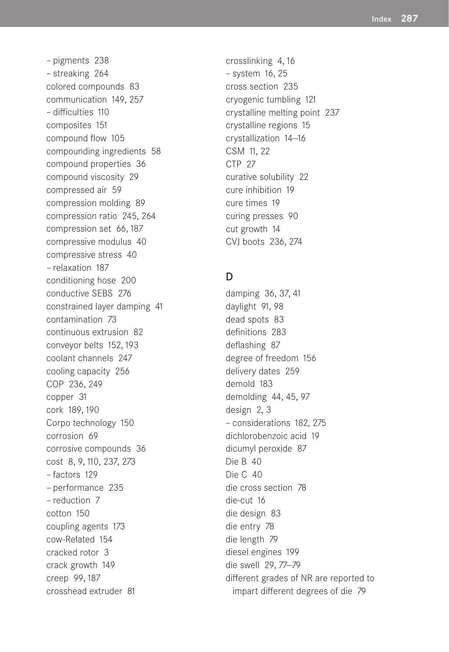– pigments 238 – streaking 264 colored compounds 83 communication 149, 257 – difficulties 110 composites 151 compound flow 105 compounding ingredients 58 compound properties 36 compound viscosity 29 compressed air 59 compression molding 89 compression ratio 245, 264 compression set 66, 187 compressive modulus 40 compressive stress 40 – relaxation 187 conditioning hose 200 conductive SEBS 276 constrained layer damping 41 contamination 73 continuous extrusion 82 conveyor belts 152, 193 coolant channels 247 cooling capacity 256 COP 236, 249 copper 31 cork 189, 190 Corpo technology 150 corrosion 69 corrosive compounds 36 cost 8, 9, 110, 237, 273 – factors 129 – performance 235 – reduction 7 cotton 150 coupling agents 173 cow-Related 154 cracked rotor 3 crack growth 149 creep 99, 187 crosshead extruder 81

crosslinking 4, 16 – system 16, 25 cross section 235 cryogenic tumbling 121 crystalline melting point 237 crystalline regions 15 crystallization 14—16 CSM 11, 22 CTP 27 curative solubility 22 cure inhibition 19 cure times 19 curing presses 90 cut growth 14 CVJ boots 236, 274

#### D

damping 36, 37, 41 daylight 91, 98 dead spots 83 definitions 283 deflashing 87 degree of freedom 156 delivery dates 259 demold 183 demolding 44, 45, 97 design 2, 3 – considerations 182, 275 dichlorobenzoic acid 19 dicumyl peroxide 87 Die B 40 Die C 40 die cross section 78 die-cut 16 die design 83 die entry 78 die length 79 diesel engines 199 die swell 29, 77—79 different grades of NR are reported to impart different degrees of die 79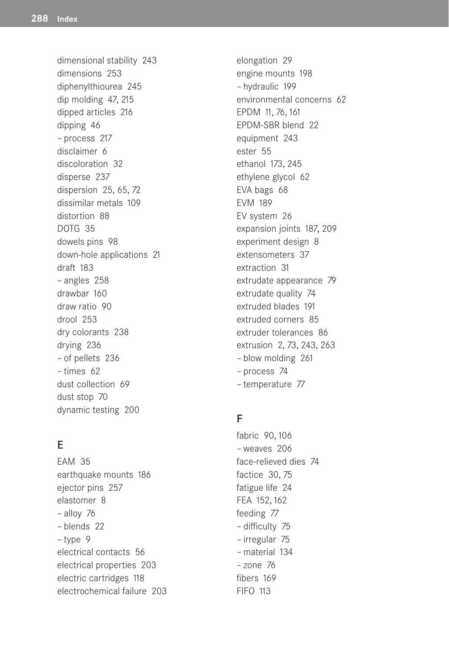dimensional stability 243 dimensions 253 diphenylthiourea 245 dip molding 47, 215 dipped articles 216 dipping 46 – process 217 disclaimer 6 discoloration 32 disperse 237 dispersion 25, 65, 72 dissimilar metals 109 distortion 88 DOTG 35 dowels pins 98 down-hole applications 21 draft 183 – angles 258 drawbar 160 draw ratio 90 drool 253 dry colorants 238 drying 236 – of pellets 236 – times 62 dust collection 69 dust stop 70 dynamic testing 200

# E

EAM 35 earthquake mounts 186 ejector pins 257 elastomer 8 – alloy 76 – blends 22 – type 9 electrical contacts 56 electrical properties 203 electric cartridges 118 electrochemical failure 203 elongation 29 engine mounts 198 – hydraulic 199 environmental concerns 62 EPDM 11, 76, 161 EPDM-SBR blend 22 equipment 243 ester 55 ethanol 173, 245 ethylene glycol 62 EVA bags 68 EVM 189 EV system 26 expansion joints 187, 209 experiment design 8 extensometers 37 extraction 31 extrudate appearance 79 extrudate quality 74 extruded blades 191 extruded corners 85 extruder tolerances 86 extrusion 2, 73, 243, 263 – blow molding 261 – process 74 – temperature 77

#### F

fabric 90, 106 – weaves 206 face-relieved dies 74 factice 30, 75 fatigue life 24 FEA 152, 162 feeding 77 – difficulty 75 – irregular 75 – material 134 – zone 76 fibers 169 FIFO 113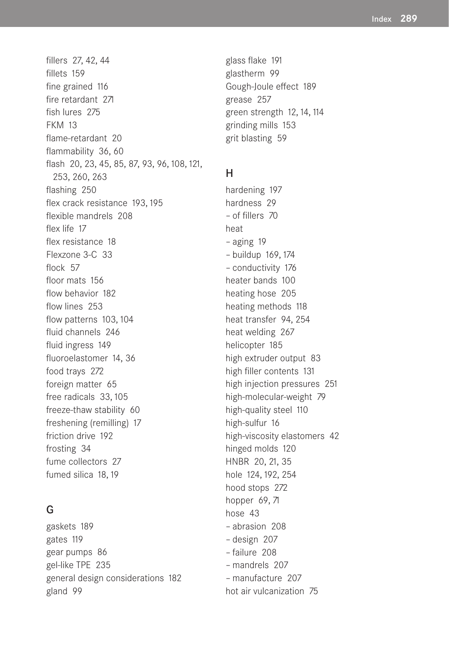fillers 27, 42, 44 fillets 159 fine grained 116 fire retardant 271 fish lures 275 FKM 13 flame-retardant 20 flammability 36, 60 flash 20, 23, 45, 85, 87, 93, 96, 108, 121, 253, 260, 263 flashing 250 flex crack resistance 193, 195 flexible mandrels 208 flex life 17 flex resistance 18 Flexzone 3-C 33 flock 57 floor mats 156 flow behavior 182 flow lines 253 flow patterns 103, 104 fluid channels 246 fluid ingress 149 fluoroelastomer 14, 36 food trays 272 foreign matter 65 free radicals 33, 105 freeze-thaw stability 60 freshening (remilling) 17 friction drive 192 frosting 34 fume collectors 27 fumed silica 18, 19

# G

gaskets 189 gates 119 gear pumps 86 gel-like TPE 235 general design considerations 182 gland 99

glass flake 191 glastherm 99 Gough-Joule effect 189 grease 257 green strength 12, 14, 114 grinding mills 153 grit blasting 59

## H

hardening 197 hardness 29 – of fillers 70 heat – aging 19 – buildup 169, 174 – conductivity 176 heater bands 100 heating hose 205 heating methods 118 heat transfer 94, 254 heat welding 267 helicopter 185 high extruder output 83 high filler contents 131 high injection pressures 251 high-molecular-weight 79 high-quality steel 110 high-sulfur 16 high-viscosity elastomers 42 hinged molds 120 HNBR 20, 21, 35 hole 124, 192, 254 hood stops 272 hopper 69, 71 hose 43 – abrasion 208 – design 207 – failure 208 – mandrels 207 – manufacture 207 hot air vulcanization 75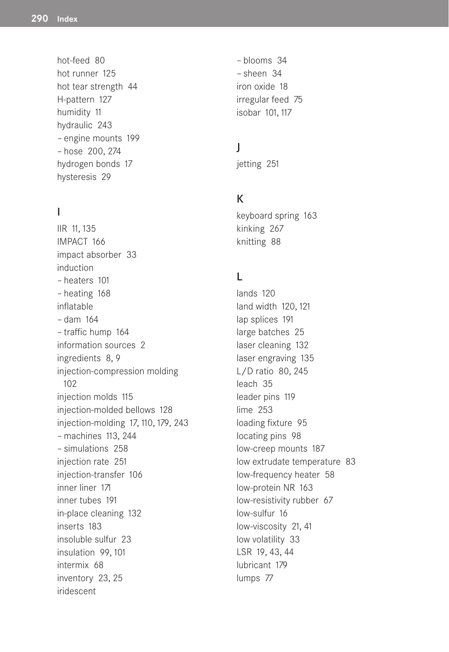hot-feed 80 hot runner 125 hot tear strength 44 H-pattern 127 humidity 11 hydraulic 243 – engine mounts 199 – hose 200, 274 hydrogen bonds 17 hysteresis 29

# I

IIR 11, 135 IMPACT 166 impact absorber 33 induction – heaters 101 – heating 168 inflatable – dam 164 – traffic hump 164 information sources 2 ingredients 8, 9 injection-compression molding 102 injection molds 115 injection-molded bellows 128 injection-molding 17, 110, 179, 243 – machines 113, 244 – simulations 258 injection rate 251 injection-transfer 106 inner liner 171 inner tubes 191 in-place cleaning 132 inserts 183 insoluble sulfur 23 insulation 99, 101 intermix 68 inventory 23, 25 iridescent

– blooms 34 – sheen 34 iron oxide 18 irregular feed 75 isobar 101, 117

#### J

jetting 251

#### K

keyboard spring 163 kinking 267 knitting 88

#### L

lands 120 land width 120, 121 lap splices 191 large batches 25 laser cleaning 132 laser engraving 135 L/D ratio 80, 245 leach 35 leader pins 119 lime 253 loading fixture 95 locating pins 98 low-creep mounts 187 low extrudate temperature 83 low-frequency heater 58 low-protein NR 163 low-resistivity rubber 67 low-sulfur 16 low-viscosity 21, 41 low volatility 33 LSR 19, 43, 44 lubricant 179 lumps 77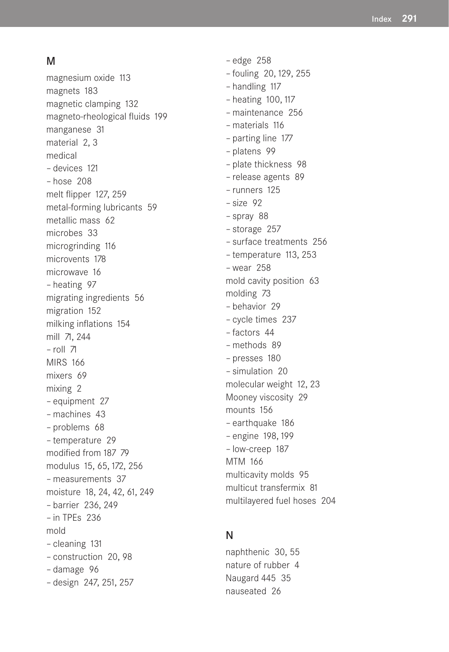#### M

magnesium oxide 113 magnets 183 magnetic clamping 132 magneto-rheological fluids 199 manganese 31 material 2, 3 medical – devices 121 – hose 208 melt flipper 127, 259 metal-forming lubricants 59 metallic mass 62 microbes 33 microgrinding 116 microvents 178 microwave 16 – heating 97 migrating ingredients 56 migration 152 milking inflations 154 mill 71, 244 – roll 71 MIRS 166 mixers 69 mixing 2 – equipment 27 – machines 43 – problems 68 – temperature 29 modified from 187 79 modulus 15, 65, 172, 256 – measurements 37 moisture 18, 24, 42, 61, 249 – barrier 236, 249 – in TPEs 236 mold – cleaning 131 – construction 20, 98 – damage 96 – design 247, 251, 257

– edge 258 – fouling 20, 129, 255 – handling 117 – heating 100, 117 – maintenance 256 – materials 116 – parting line 177 – platens 99 – plate thickness 98 – release agents 89 – runners 125 – size 92 – spray 88 – storage 257 – surface treatments 256 – temperature 113, 253 – wear 258 mold cavity position 63 molding 73 – behavior 29 – cycle times 237 – factors 44 – methods 89 – presses 180 – simulation 20 molecular weight 12, 23 Mooney viscosity 29 mounts 156 – earthquake 186 – engine 198, 199 – low-creep 187 MTM 166 multicavity molds 95 multicut transfermix 81 multilayered fuel hoses 204

#### N

naphthenic 30, 55 nature of rubber 4 Naugard 445 35 nauseated 26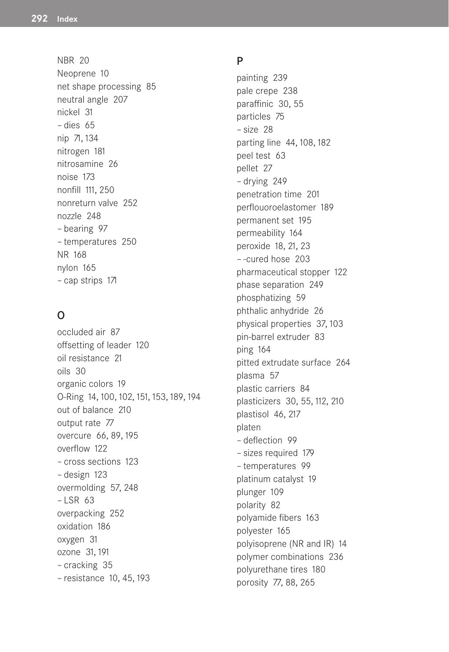NBR 20 Neoprene 10 net shape processing 85 neutral angle 207 nickel 31 – dies 65 nip 71, 134 nitrogen 181 nitrosamine 26 noise 173 nonfill 111, 250 nonreturn valve 252 nozzle 248 – bearing 97 – temperatures 250 NR 168 nylon 165 – cap strips 171

# O

occluded air 87 offsetting of leader 120 oil resistance 21 oils 30 organic colors 19 O-Ring 14, 100, 102, 151, 153, 189, 194 out of balance 210 output rate 77 overcure 66, 89, 195 overflow 122 – cross sections 123 – design 123 overmolding 57, 248 – LSR 63 overpacking 252 oxidation 186 oxygen 31 ozone 31, 191 – cracking 35 – resistance 10, 45, 193

#### P

painting 239 pale crepe 238 paraffinic 30, 55 particles 75 – size 28 parting line 44, 108, 182 peel test 63 pellet 27 – drying 249 penetration time 201 perflouoroelastomer 189 permanent set 195 permeability 164 peroxide 18, 21, 23 – -cured hose 203 pharmaceutical stopper 122 phase separation 249 phosphatizing 59 phthalic anhydride 26 physical properties 37, 103 pin-barrel extruder 83 ping 164 pitted extrudate surface 264 plasma 57 plastic carriers 84 plasticizers 30, 55, 112, 210 plastisol 46, 217 platen – deflection 99 – sizes required 179 – temperatures 99 platinum catalyst 19 plunger 109 polarity 82 polyamide fibers 163 polyester 165 polyisoprene (NR and IR) 14 polymer combinations 236 polyurethane tires 180 porosity 77, 88, 265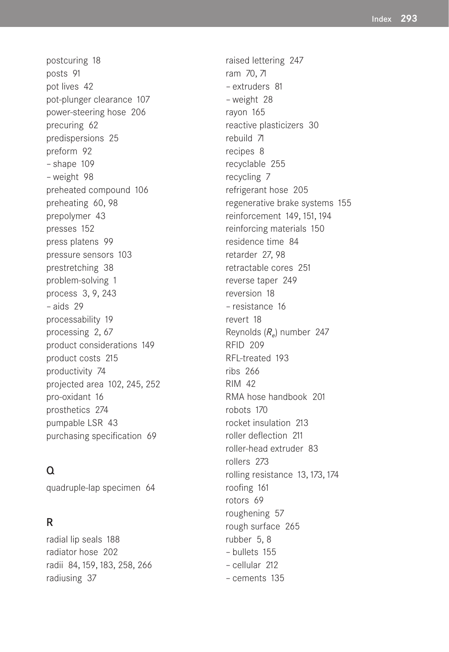postcuring 18 posts 91 pot lives 42 pot-plunger clearance 107 power-steering hose 206 precuring 62 predispersions 25 preform 92 – shape 109 – weight 98 preheated compound 106 preheating 60, 98 prepolymer 43 presses 152 press platens 99 pressure sensors 103 prestretching 38 problem-solving 1 process 3, 9, 243 – aids 29 processability 19 processing 2, 67 product considerations 149 product costs 215 productivity 74 projected area 102, 245, 252 pro-oxidant 16 prosthetics 274 pumpable LSR 43 purchasing specification 69

#### $\Omega$

quadruple-lap specimen 64

#### R

radial lip seals 188 radiator hose 202 radii 84, 159, 183, 258, 266 radiusing 37

raised lettering 247 ram 70, 71 – extruders 81 – weight 28 rayon 165 reactive plasticizers 30 rebuild 71 recipes 8 recyclable 255 recycling 7 refrigerant hose 205 regenerative brake systems 155 reinforcement 149, 151, 194 reinforcing materials 150 residence time 84 retarder 27, 98 retractable cores 251 reverse taper 249 reversion 18 – resistance 16 revert 18 Reynolds (*Re*) number 247 RFID 209 RFL-treated 193 ribs 266 RIM 42 RMA hose handbook 201 robots 170 rocket insulation 213 roller deflection 211 roller-head extruder 83 rollers 273 rolling resistance 13, 173, 174 roofing 161 rotors 69 roughening 57 rough surface 265 rubber 5, 8 – bullets 155 – cellular 212 – cements 135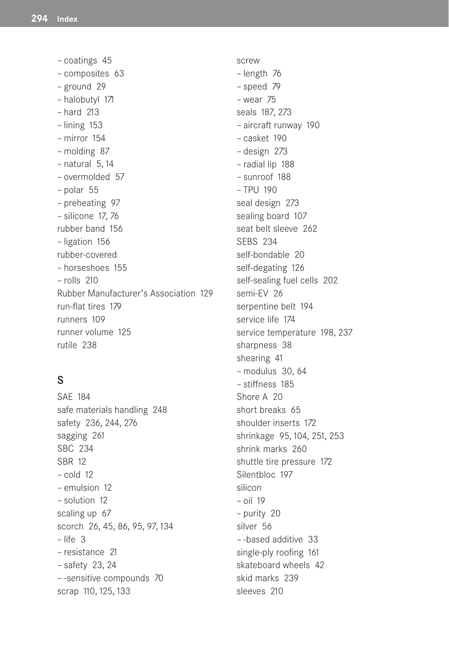– coatings 45 – composites 63 – ground 29 – halobutyl 171 – hard 213 – lining 153 – mirror 154 – molding 87  $-$  natural 5, 14 – overmolded 57 – polar 55 – preheating 97 – silicone 17, 76 rubber band 156 – ligation 156 rubber-covered – horseshoes 155 – rolls 210 Rubber Manufacturer's Association 129 run-flat tires 179 runners 109 runner volume 125 rutile 238

#### S

SAE 184 safe materials handling 248 safety 236, 244, 276 sagging 261 SBC 234 SBR 12 – cold 12 – emulsion 12 – solution 12 scaling up 67 scorch 26, 45, 86, 95, 97, 134 – life 3 – resistance 21 – safety 23, 24 – -sensitive compounds 70 scrap 110, 125, 133

screw – length 76 – speed 79 – wear 75 seals 187, 273 – aircraft runway 190 – casket 190 – design 273 – radial lip 188 – sunroof 188 – TPU 190 seal design 273 sealing board 107 seat belt sleeve 262 SEBS 234 self-bondable 20 self-degating 126 self-sealing fuel cells 202 semi-EV 26 serpentine belt 194 service life 174 service temperature 198, 237 sharpness 38 shearing 41 – modulus 30, 64 – stiffness 185 Shore A 20 short breaks 65 shoulder inserts 172 shrinkage 95, 104, 251, 253 shrink marks 260 shuttle tire pressure 172 Silentbloc 197 silicon – oil 19 – purity 20 silver 56 – -based additive 33 single-ply roofing 161 skateboard wheels 42 skid marks 239 sleeves 210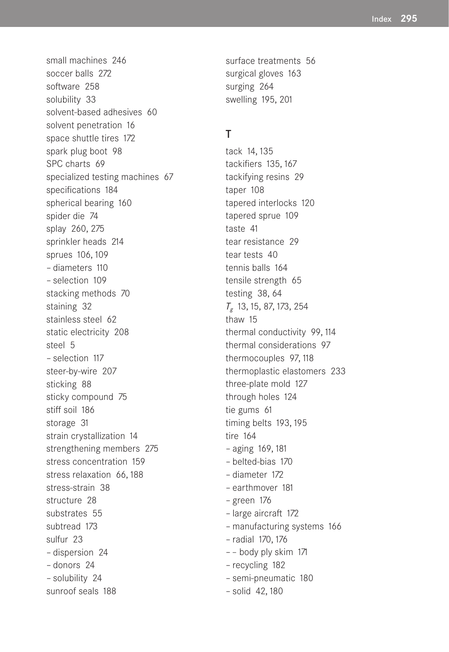small machines 246 soccer balls 272 software 258 solubility 33 solvent-based adhesives 60 solvent penetration 16 space shuttle tires 172 spark plug boot 98 SPC charts 69 specialized testing machines 67 specifications 184 spherical bearing 160 spider die 74 splay 260, 275 sprinkler heads 214 sprues 106, 109 – diameters 110 – selection 109 stacking methods 70 staining 32 stainless steel 62 static electricity 208 steel 5 – selection 117 steer-by-wire 207 sticking 88 sticky compound 75 stiff soil 186 storage 31 strain crystallization 14 strengthening members 275 stress concentration 159 stress relaxation 66, 188 stress-strain 38 structure 28 substrates 55 subtread 173 sulfur 23 – dispersion 24 – donors 24 – solubility 24 sunroof seals 188

surface treatments 56 surgical gloves 163 surging 264 swelling 195, 201

#### T

tack 14, 135 tackifiers 135, 167 tackifying resins 29 taper 108 tapered interlocks 120 tapered sprue 109 taste 41 tear resistance 29 tear tests 40 tennis balls 164 tensile strength 65 testing 38, 64 *Tg* 13, 15, 87, 173, 254 thaw 15 thermal conductivity 99, 114 thermal considerations 97 thermocouples 97, 118 thermoplastic elastomers 233 three-plate mold 127 through holes 124 tie gums 61 timing belts 193, 195 tire 164 – aging 169, 181 – belted-bias 170 – diameter 172 – earthmover 181 – green 176 – large aircraft 172 – manufacturing systems 166 – radial 170, 176 – – body ply skim 171 – recycling 182 – semi-pneumatic 180 – solid 42, 180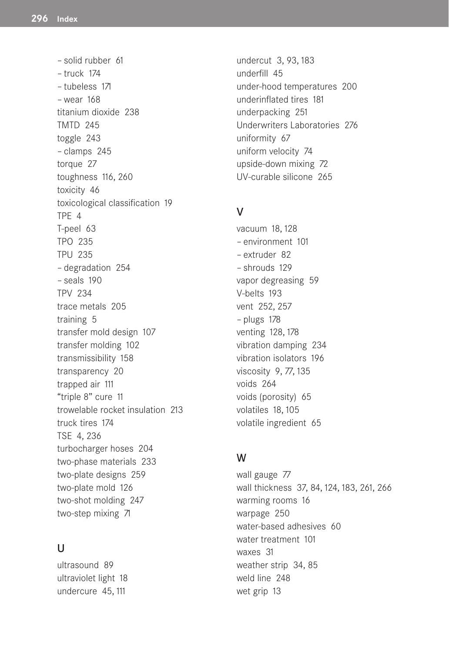– solid rubber 61 – truck 174 – tubeless 171 – wear 168 titanium dioxide 238 TMTD 245 toggle 243 – clamps 245 torque 27 toughness 116, 260 toxicity 46 toxicological classification 19 TPE 4 T-peel 63 TPO 235 TPU 235 – degradation 254 – seals 190 TPV 234 trace metals 205 training 5 transfer mold design 107 transfer molding 102 transmissibility 158 transparency 20 trapped air 111 "triple 8" cure 11 trowelable rocket insulation 213 truck tires 174 TSE 4, 236 turbocharger hoses 204 two-phase materials 233 two-plate designs 259 two-plate mold 126 two-shot molding 247 two-step mixing 71

#### $\cup$

ultrasound 89 ultraviolet light 18 undercure 45, 111

undercut 3, 93, 183 underfill 45 under-hood temperatures 200 underinflated tires 181 underpacking 251 Underwriters Laboratories 276 uniformity 67 uniform velocity 74 upside-down mixing 72 UV-curable silicone 265

#### V

vacuum 18, 128 – environment 101 – extruder 82 – shrouds 129 vapor degreasing 59 V-belts 193 vent 252, 257 – plugs 178 venting 128, 178 vibration damping 234 vibration isolators 196 viscosity 9, 77, 135 voids 264 voids (porosity) 65 volatiles 18, 105 volatile ingredient 65

#### W

wall gauge 77 wall thickness 37, 84, 124, 183, 261, 266 warming rooms 16 warpage 250 water-based adhesives 60 water treatment 101 waxes 31 weather strip 34, 85 weld line 248 wet grip 13